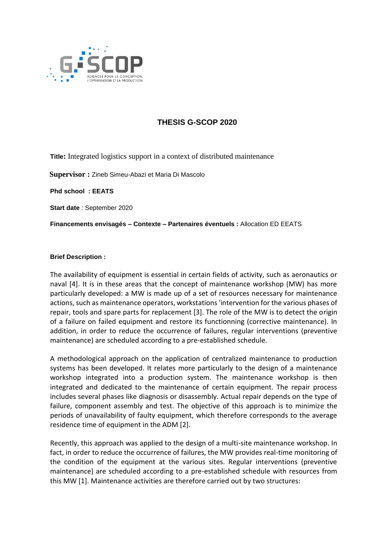

## **THESIS G-SCOP 2020**

**Title:** Integrated logistics support in a context of distributed maintenance

 **Supervisor :** Zineb Simeu-Abazi et Maria Di Mascolo

**Phd school : EEATS**

**Start date** : September 2020

**Financements envisagés – Contexte – Partenaires éventuels :** Allocation ED EEATS

## **Brief Description :**

The availability of equipment is essential in certain fields of activity, such as aeronautics or naval [4]. It is in these areas that the concept of maintenance workshop (MW) has more particularly developed: a MW is made up of a set of resources necessary for maintenance actions, such as maintenance operators, workstations 'intervention for the various phases of repair, tools and spare parts for replacement [3]. The role of the MW is to detect the origin of a failure on failed equipment and restore its functionning (corrective maintenance). In addition, in order to reduce the occurrence of failures, regular interventions (preventive maintenance) are scheduled according to a pre-established schedule.

A methodological approach on the application of centralized maintenance to production systems has been developed. It relates more particularly to the design of a maintenance workshop integrated into a production system. The maintenance workshop is then integrated and dedicated to the maintenance of certain equipment. The repair process includes several phases like diagnosis or disassembly. Actual repair depends on the type of failure, component assembly and test. The objective of this approach is to minimize the periods of unavailability of faulty equipment, which therefore corresponds to the average residence time of equipment in the ADM [2].

Recently, this approach was applied to the design of a multi-site maintenance workshop. In fact, in order to reduce the occurrence of failures, the MW provides real-time monitoring of the condition of the equipment at the various sites. Regular interventions (preventive maintenance) are scheduled according to a pre-established schedule with resources from this MW [1]. Maintenance activities are therefore carried out by two structures: